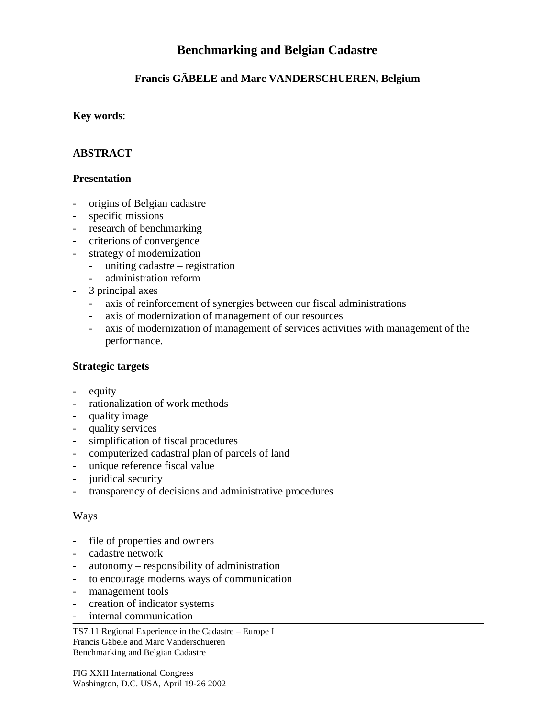## **Benchmarking and Belgian Cadastre**

# **Francis GÄBELE and Marc VANDERSCHUEREN, Belgium**

### **Key words**:

### **ABSTRACT**

### **Presentation**

- origins of Belgian cadastre
- specific missions
- research of benchmarking
- criterions of convergence
- strategy of modernization
	- uniting cadastre registration
	- administration reform
- 3 principal axes
	- axis of reinforcement of synergies between our fiscal administrations
	- axis of modernization of management of our resources
	- axis of modernization of management of services activities with management of the performance.

### **Strategic targets**

- equity
- rationalization of work methods
- quality image
- quality services
- simplification of fiscal procedures
- computerized cadastral plan of parcels of land
- unique reference fiscal value
- juridical security
- transparency of decisions and administrative procedures

#### Ways

- file of properties and owners
- cadastre network
- autonomy responsibility of administration
- to encourage moderns ways of communication
- management tools
- creation of indicator systems
- internal communication

TS7.11 Regional Experience in the Cadastre – Europe I Francis Gäbele and Marc Vanderschueren Benchmarking and Belgian Cadastre

FIG XXII International Congress Washington, D.C. USA, April 19-26 2002